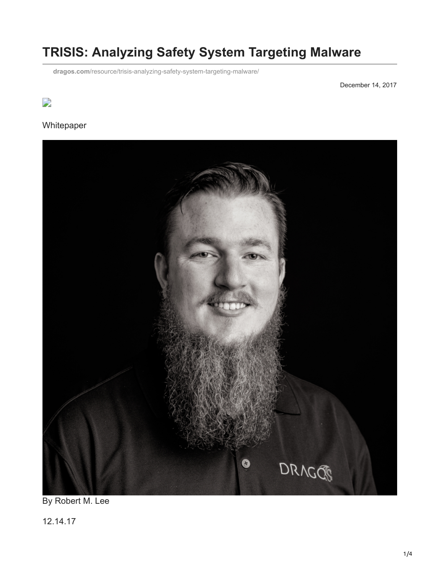# **TRISIS: Analyzing Safety System Targeting Malware**

**dragos.com**[/resource/trisis-analyzing-safety-system-targeting-malware/](https://dragos.com/resource/trisis-analyzing-safety-system-targeting-malware/)

December 14, 2017

# $\overline{\phantom{a}}$

#### Whitepaper



By Robert M. Lee

12.14.17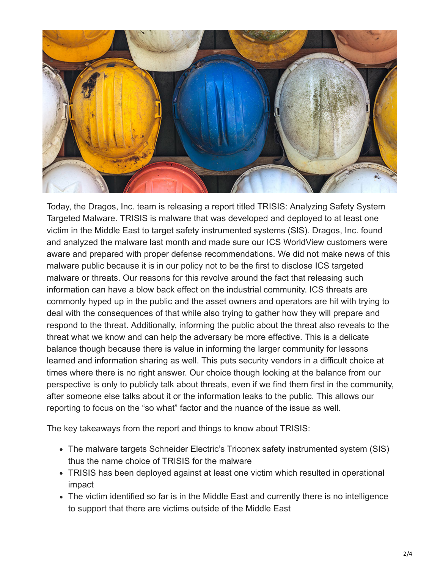

Today, the Dragos, Inc. team is releasing a report titled TRISIS: Analyzing Safety System Targeted Malware. TRISIS is malware that was developed and deployed to at least one victim in the Middle East to target safety instrumented systems (SIS). Dragos, Inc. found and analyzed the malware last month and made sure our ICS WorldView customers were aware and prepared with proper defense recommendations. We did not make news of this malware public because it is in our policy not to be the first to disclose ICS targeted malware or threats. Our reasons for this revolve around the fact that releasing such information can have a blow back effect on the industrial community. ICS threats are commonly hyped up in the public and the asset owners and operators are hit with trying to deal with the consequences of that while also trying to gather how they will prepare and respond to the threat. Additionally, informing the public about the threat also reveals to the threat what we know and can help the adversary be more effective. This is a delicate balance though because there is value in informing the larger community for lessons learned and information sharing as well. This puts security vendors in a difficult choice at times where there is no right answer. Our choice though looking at the balance from our perspective is only to publicly talk about threats, even if we find them first in the community, after someone else talks about it or the information leaks to the public. This allows our reporting to focus on the "so what" factor and the nuance of the issue as well.

The key takeaways from the report and things to know about TRISIS:

- The malware targets Schneider Electric's Triconex safety instrumented system (SIS) thus the name choice of TRISIS for the malware
- TRISIS has been deployed against at least one victim which resulted in operational impact
- The victim identified so far is in the Middle East and currently there is no intelligence to support that there are victims outside of the Middle East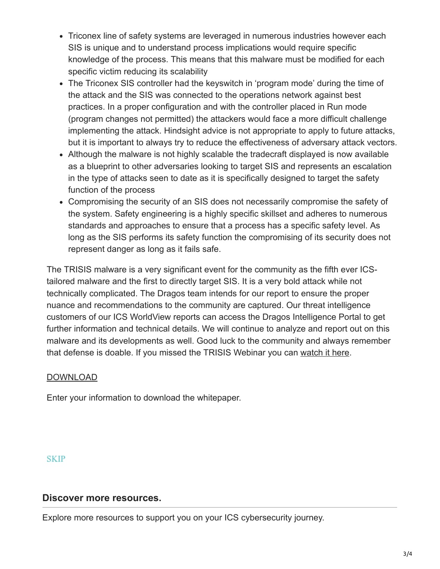- Triconex line of safety systems are leveraged in numerous industries however each SIS is unique and to understand process implications would require specific knowledge of the process. This means that this malware must be modified for each specific victim reducing its scalability
- The Triconex SIS controller had the keyswitch in 'program mode' during the time of the attack and the SIS was connected to the operations network against best practices. In a proper configuration and with the controller placed in Run mode (program changes not permitted) the attackers would face a more difficult challenge implementing the attack. Hindsight advice is not appropriate to apply to future attacks, but it is important to always try to reduce the effectiveness of adversary attack vectors.
- Although the malware is not highly scalable the tradecraft displayed is now available as a blueprint to other adversaries looking to target SIS and represents an escalation in the type of attacks seen to date as it is specifically designed to target the safety function of the process
- Compromising the security of an SIS does not necessarily compromise the safety of the system. Safety engineering is a highly specific skillset and adheres to numerous standards and approaches to ensure that a process has a specific safety level. As long as the SIS performs its safety function the compromising of its security does not represent danger as long as it fails safe.

The TRISIS malware is a very significant event for the community as the fifth ever ICStailored malware and the first to directly target SIS. It is a very bold attack while not technically complicated. The Dragos team intends for our report to ensure the proper nuance and recommendations to the community are captured. Our threat intelligence customers of our ICS WorldView reports can access the Dragos Intelligence Portal to get further information and technical details. We will continue to analyze and report out on this malware and its developments as well. Good luck to the community and always remember that defense is doable. If you missed the TRISIS Webinar you can [watch it here](https://www.dragos.com/media/trisis-webinar-20171219.html).

## DOWNLOAD

Enter your information to download the whitepaper.

**SKIP** 

## **Discover more resources.**

Explore more resources to support you on your ICS cybersecurity journey.